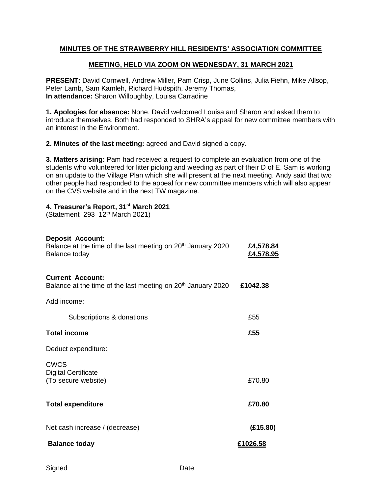### **MINUTES OF THE STRAWBERRY HILL RESIDENTS' ASSOCIATION COMMITTEE**

#### **MEETING, HELD VIA ZOOM ON WEDNESDAY, 31 MARCH 2021**

**PRESENT**: David Cornwell, Andrew Miller, Pam Crisp, June Collins, Julia Fiehn, Mike Allsop, Peter Lamb, Sam Kamleh, Richard Hudspith, Jeremy Thomas, **In attendance:** Sharon Willoughby, Louisa Carradine

**1. Apologies for absence:** None. David welcomed Louisa and Sharon and asked them to introduce themselves. Both had responded to SHRA's appeal for new committee members with an interest in the Environment.

**2. Minutes of the last meeting:** agreed and David signed a copy.

**3. Matters arising:** Pam had received a request to complete an evaluation from one of the students who volunteered for litter picking and weeding as part of their D of E. Sam is working on an update to the Village Plan which she will present at the next meeting. Andy said that two other people had responded to the appeal for new committee members which will also appear on the CVS website and in the next TW magazine.

#### **4. Treasurer's Report, 31st March 2021**

(Statement 293 12<sup>th</sup> March 2021)

#### **Deposit Account:**

| Balance at the time of the last meeting on 20 <sup>th</sup> January 2020<br>Balance today           | £4,578.84<br><u>£4,578.95</u> |
|-----------------------------------------------------------------------------------------------------|-------------------------------|
| <b>Current Account:</b><br>Balance at the time of the last meeting on 20 <sup>th</sup> January 2020 | £1042.38                      |
| Add income:                                                                                         |                               |
| Subscriptions & donations                                                                           | £55                           |
| <b>Total income</b>                                                                                 | £55                           |
| Deduct expenditure:                                                                                 |                               |
| <b>CWCS</b><br><b>Digital Certificate</b><br>(To secure website)                                    | £70.80                        |
| <b>Total expenditure</b>                                                                            | £70.80                        |
| Net cash increase / (decrease)                                                                      | (E15.80)                      |
| <b>Balance today</b>                                                                                | £1026.58                      |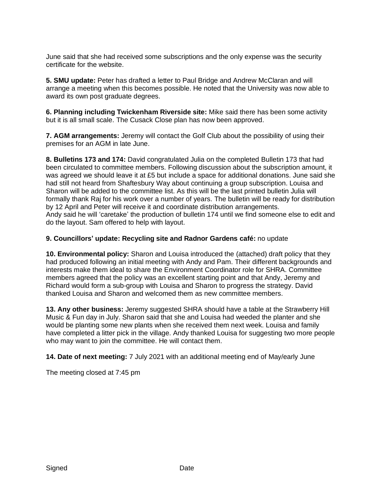June said that she had received some subscriptions and the only expense was the security certificate for the website.

**5. SMU update:** Peter has drafted a letter to Paul Bridge and Andrew McClaran and will arrange a meeting when this becomes possible. He noted that the University was now able to award its own post graduate degrees.

**6. Planning including Twickenham Riverside site:** Mike said there has been some activity but it is all small scale. The Cusack Close plan has now been approved.

**7. AGM arrangements:** Jeremy will contact the Golf Club about the possibility of using their premises for an AGM in late June.

**8. Bulletins 173 and 174:** David congratulated Julia on the completed Bulletin 173 that had been circulated to committee members. Following discussion about the subscription amount, it was agreed we should leave it at £5 but include a space for additional donations. June said she had still not heard from Shaftesbury Way about continuing a group subscription. Louisa and Sharon will be added to the committee list. As this will be the last printed bulletin Julia will formally thank Raj for his work over a number of years. The bulletin will be ready for distribution by 12 April and Peter will receive it and coordinate distribution arrangements. Andy said he will 'caretake' the production of bulletin 174 until we find someone else to edit and do the layout. Sam offered to help with layout.

#### **9. Councillors' update: Recycling site and Radnor Gardens café:** no update

**10. Environmental policy:** Sharon and Louisa introduced the (attached) draft policy that they had produced following an initial meeting with Andy and Pam. Their different backgrounds and interests make them ideal to share the Environment Coordinator role for SHRA. Committee members agreed that the policy was an excellent starting point and that Andy, Jeremy and Richard would form a sub-group with Louisa and Sharon to progress the strategy. David thanked Louisa and Sharon and welcomed them as new committee members.

**13. Any other business:** Jeremy suggested SHRA should have a table at the Strawberry Hill Music & Fun day in July. Sharon said that she and Louisa had weeded the planter and she would be planting some new plants when she received them next week. Louisa and family have completed a litter pick in the village. Andy thanked Louisa for suggesting two more people who may want to join the committee. He will contact them.

**14. Date of next meeting:** 7 July 2021 with an additional meeting end of May/early June

The meeting closed at 7:45 pm